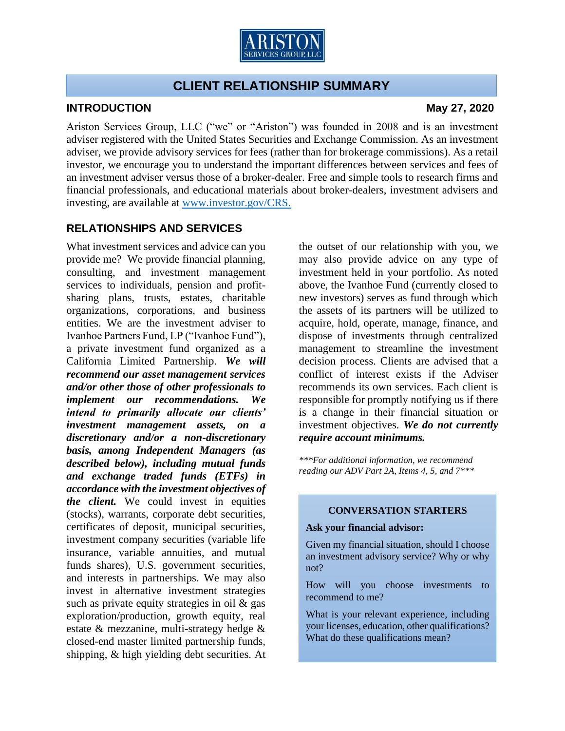

# **CLIENT RELATIONSHIP SUMMARY**

## **INTRODUCTION May 27, 2020**

Ariston Services Group, LLC ("we" or "Ariston") was founded in 2008 and is an investment adviser registered with the United States Securities and Exchange Commission. As an investment adviser, we provide advisory services for fees (rather than for brokerage commissions). As a retail investor, we encourage you to understand the important differences between services and fees of an investment adviser versus those of a broker-dealer. Free and simple tools to research firms and financial professionals, and educational materials about broker-dealers, investment advisers and investing, are available at<www.investor.gov/CRS.>

# **RELATIONSHIPS AND SERVICES**

What investment services and advice can you provide me? We provide financial planning, consulting, and investment management services to individuals, pension and profitsharing plans, trusts, estates, charitable organizations, corporations, and business entities. We are the investment adviser to Ivanhoe Partners Fund, LP ("Ivanhoe Fund"), a private investment fund organized as a California Limited Partnership. *We will recommend our asset management services and/or other those of other professionals to implement our recommendations. We intend to primarily allocate our clients' investment management assets, on a discretionary and/or a non-discretionary basis, among Independent Managers (as described below), including mutual funds and exchange traded funds (ETFs) in accordance with the investment objectives of the client.* We could invest in equities (stocks), warrants, corporate debt securities, certificates of deposit, municipal securities, investment company securities (variable life insurance, variable annuities, and mutual funds shares), U.S. government securities, and interests in partnerships. We may also invest in alternative investment strategies such as private equity strategies in oil & gas exploration/production, growth equity, real estate & mezzanine, multi-strategy hedge & closed-end master limited partnership funds, shipping, & high yielding debt securities. At

the outset of our relationship with you, we may also provide advice on any type of investment held in your portfolio. As noted above, the Ivanhoe Fund (currently closed to new investors) serves as fund through which the assets of its partners will be utilized to acquire, hold, operate, manage, finance, and dispose of investments through centralized management to streamline the investment decision process. Clients are advised that a conflict of interest exists if the Adviser recommends its own services. Each client is responsible for promptly notifying us if there is a change in their financial situation or investment objectives. *We do not currently require account minimums.*

*\*\*\*For additional information, we recommend reading our ADV Part 2A, Items 4, 5, and 7\*\*\**

## **CONVERSATION STARTERS**

### **Ask your financial advisor:**

Given my financial situation, should I choose an investment advisory service? Why or why not?

How will you choose investments to recommend to me?

What is your relevant experience, including your licenses, education, other qualifications? What do these qualifications mean?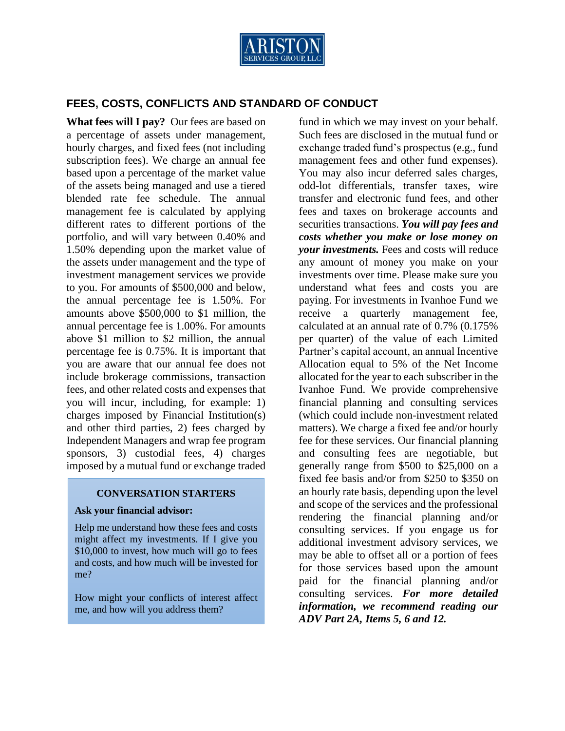

## **FEES, COSTS, CONFLICTS AND STANDARD OF CONDUCT**

**What fees will I pay?** Our fees are based on a percentage of assets under management, hourly charges, and fixed fees (not including subscription fees). We charge an annual fee based upon a percentage of the market value of the assets being managed and use a tiered blended rate fee schedule. The annual management fee is calculated by applying different rates to different portions of the portfolio, and will vary between 0.40% and 1.50% depending upon the market value of the assets under management and the type of investment management services we provide to you. For amounts of \$500,000 and below, the annual percentage fee is 1.50%. For amounts above \$500,000 to \$1 million, the annual percentage fee is 1.00%. For amounts above \$1 million to \$2 million, the annual percentage fee is 0.75%. It is important that you are aware that our annual fee does not include brokerage commissions, transaction fees, and other related costs and expenses that you will incur, including, for example: 1) charges imposed by Financial Institution(s) and other third parties, 2) fees charged by Independent Managers and wrap fee program sponsors, 3) custodial fees, 4) charges imposed by a mutual fund or exchange traded

#### **CONVERSATION STARTERS**

#### **Ask your financial advisor:**

Help me understand how these fees and costs might affect my investments. If I give you \$10,000 to invest, how much will go to fees and costs, and how much will be invested for me?

How might your conflicts of interest affect me, and how will you address them?

fund in which we may invest on your behalf. Such fees are disclosed in the mutual fund or exchange traded fund's prospectus (e.g., fund management fees and other fund expenses). You may also incur deferred sales charges, odd-lot differentials, transfer taxes, wire transfer and electronic fund fees, and other fees and taxes on brokerage accounts and securities transactions. *You will pay fees and costs whether you make or lose money on your investments.* Fees and costs will reduce any amount of money you make on your investments over time. Please make sure you understand what fees and costs you are paying. For investments in Ivanhoe Fund we receive a quarterly management fee, calculated at an annual rate of 0.7% (0.175% per quarter) of the value of each Limited Partner's capital account, an annual Incentive Allocation equal to 5% of the Net Income allocated for the year to each subscriber in the Ivanhoe Fund. We provide comprehensive financial planning and consulting services (which could include non-investment related matters). We charge a fixed fee and/or hourly fee for these services. Our financial planning and consulting fees are negotiable, but generally range from \$500 to \$25,000 on a fixed fee basis and/or from \$250 to \$350 on an hourly rate basis, depending upon the level and scope of the services and the professional rendering the financial planning and/or consulting services. If you engage us for additional investment advisory services, we may be able to offset all or a portion of fees for those services based upon the amount paid for the financial planning and/or consulting services. *For more detailed information, we recommend reading our ADV Part 2A, Items 5, 6 and 12.*